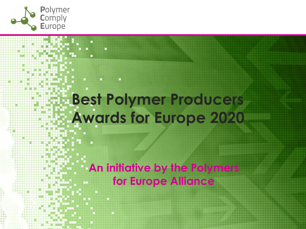

## **Best Polymer Producers Awards for Europe 2020**

**An initiative by the Polymers for Europe Alliance**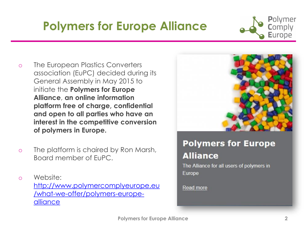#### **Polymers for Europe [Alliance](http://www.polymercomplyeurope.eu/what-we-offer/polymers-europe-alliance) 2**

- **Polymers for Europe Alliance**  o The European Plastics Converters association (EuPC) decided during its
- General Assembly in May 2015 to initiate the **Polymers for Europe Alliance**, **an online information platform free of charge, confidential and open to all parties who have an interest in the competitive conversion of polymers in Europe.**
- o The platform is chaired by Ron Marsh, Board member of EuPC.
- o Website: [http://www.polymercomplyeurope.eu](http://www.polymercomplyeurope.eu/what-we-offer/polymers-europe-alliance) /what-we-offer/polymers-europealliance

#### **Polymers for Europe Alliance**

The Alliance for all users of polymers in Europe

Read more



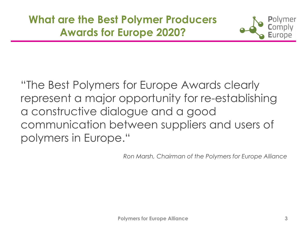

"The Best Polymers for Europe Awards clearly represent a major opportunity for re-establishing a constructive dialogue and a good communication between suppliers and users of polymers in Europe."

*Ron Marsh, Chairman of the Polymers for Europe Alliance*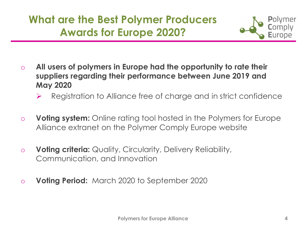

- o **All users of polymers in Europe had the opportunity to rate their suppliers regarding their performance between June 2019 and May 2020**
	- ➢ Registration to Alliance free of charge and in strict confidence
- o **Voting system:** Online rating tool hosted in the Polymers for Europe Alliance extranet on the Polymer Comply Europe website
- o **Voting criteria:** Quality, Circularity, Delivery Reliability, Communication, and Innovation
- o **Voting Period:** March 2020 to September 2020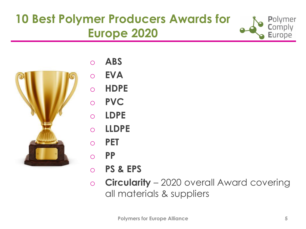#### **10 Best Polymer Producers Awards for Europe 2020**





- o **ABS**
- o **EVA**
- o **HDPE**
- o **PVC**
- o **LDPE**
- o **LLDPE**
- o **PET**
- o **PP**
- o **PS & EPS**
- o **Circularity**  2020 overall Award covering all materials & suppliers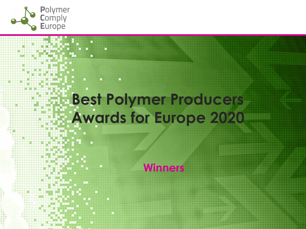

# **Best Polymer Producers Awards for Europe 2020**

**Winners**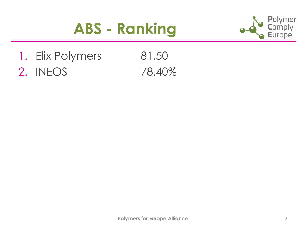#### **ABS - Ranking**



1. Elix Polymers 81.50 2. INEOS 78.40%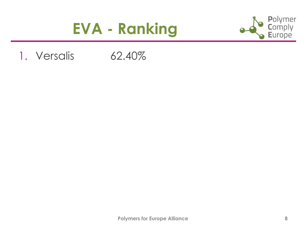#### **EVA - Ranking**



#### 1. Versalis 62.40%

**Polymers for Europe Alliance 8**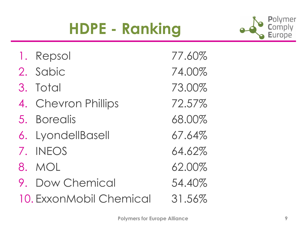## **HDPE - Ranking**



| 1. Repsol               | 77.60% |
|-------------------------|--------|
| 2. Sabic                | 74.00% |
| 3. Total                | 73.00% |
| 4. Chevron Phillips     | 72.57% |
| 5. Borealis             | 68.00% |
| 6. LyondellBasell       | 67.64% |
| 7. INEOS                | 64.62% |
| 8. MOL                  | 62.00% |
| 9. Dow Chemical         | 54.40% |
| 10. ExxonMobil Chemical | 31.56% |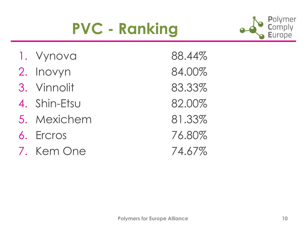## **PVC - Ranking**



| 1. Vynova    | 88.44% |
|--------------|--------|
| 2. Inovyn    | 84.00% |
| 3. Vinnolit  | 83.33% |
| 4. Shin-Etsu | 82.00% |
| 5. Mexichem  | 81.33% |
| 6. Ercros    | 76.80% |
| 7. Kem One   | 74.67% |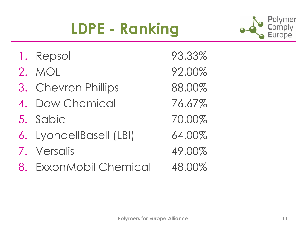## **LDPE - Ranking**



| 1. Repsol               | 93.33% |
|-------------------------|--------|
| 2. MOL                  | 92.00% |
| 3. Chevron Phillips     | 88.00% |
| 4. Dow Chemical         | 76.67% |
| 5. Sabic                | 70.00% |
| 6. LyondellBasell (LBI) | 64.00% |
| 7. Versalis             | 49.00% |
| 8. ExxonMobil Chemical  | 48.00% |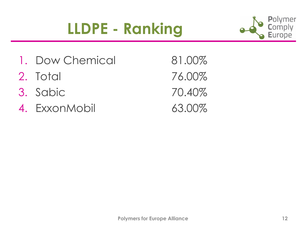## **LLDPE - Ranking**



- 1. Dow Chemical 81.00%
- 2. Total 76.00%
- 3. Sabic 70.40%
- 4. ExxonMobil 63.00%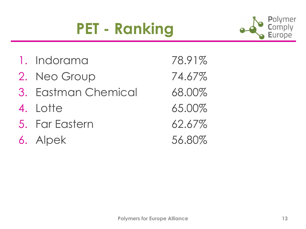## **PET - Ranking**



| 1. Indorama         | 78.91% |
|---------------------|--------|
| 2. Neo Group        | 74.67% |
| 3. Eastman Chemical | 68.00% |
| 4. Lotte            | 65.00% |
| 5. Far Eastern      | 62.67% |
| 6. Alpek            | 56.80% |

**Polymers for Europe Alliance 13**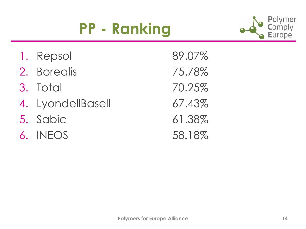## **PP - Ranking**



- 1. Repsol 89.07%
- 2. Borealis 75.78%
- 3. Total 70.25%
- 4. LyondellBasell 67.43%
- 5. Sabic 61.38%
- 6. INEOS 58.18%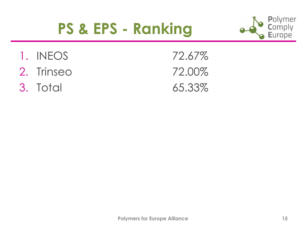#### **PS & EPS - Ranking**



- 1. INEOS 72.67%
- 2. Trinseo 72.00%
- 3. Total 65.33%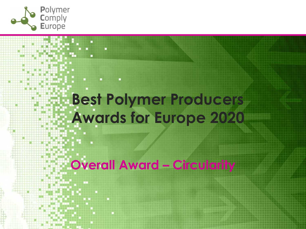

## **Best Polymer Producers Awards for Europe 2020**

**Overall Award – Circularity**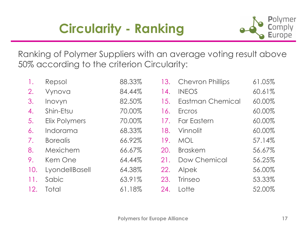#### **Circularity - Ranking**



Ranking of Polymer Suppliers with an average voting result above 50% according to the criterion Circularity:

| 1.  | Repsol               | 88.33% |     | 13. Chevron Phillips    | 61.05% |
|-----|----------------------|--------|-----|-------------------------|--------|
| 2.  | Vynova               | 84.44% | 14. | <b>INEOS</b>            | 60.61% |
| 3.  | Inovyn               | 82.50% | 15. | <b>Eastman Chemical</b> | 60.00% |
| 4.  | Shin-Etsu            | 70.00% | 16. | Ercros                  | 60.00% |
| 5.  | <b>Elix Polymers</b> | 70.00% | 17. | <b>Far Eastern</b>      | 60.00% |
| 6.  | Indorama             | 68.33% | 18. | Vinnolit                | 60.00% |
| 7.  | <b>Borealis</b>      | 66.92% | 19. | <b>MOL</b>              | 57.14% |
| 8.  | Mexichem             | 66.67% | 20. | <b>Braskem</b>          | 56.67% |
| 9.  | Kem One              | 64.44% | 21. | Dow Chemical            | 56.25% |
| 10. | LyondellBasell       | 64.38% | 22. | Alpek                   | 56.00% |
| 11. | Sabic                | 63.91% | 23. | <b>Trinseo</b>          | 53.33% |
| 12. | Total                | 61.18% | 24. | Lotte                   | 52.00% |